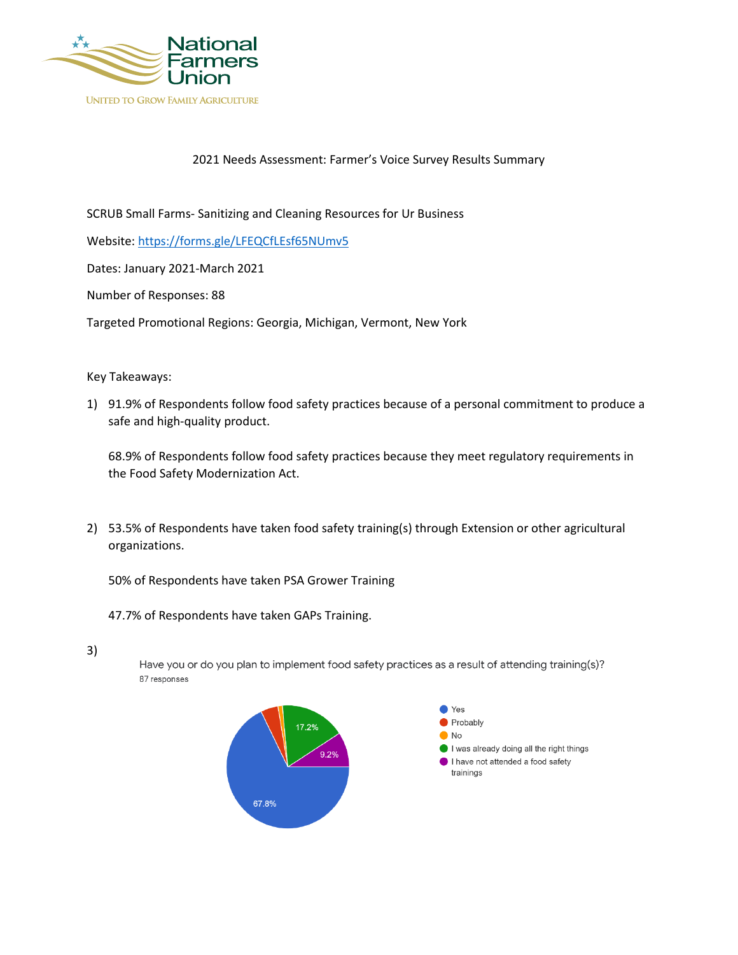

## 2021 Needs Assessment: Farmer's Voice Survey Results Summary

SCRUB Small Farms- Sanitizing and Cleaning Resources for Ur Business

Website: https://forms.gle/LFEQCfLEsf65NUmv5

Dates: January 2021-March 2021

Number of Responses: 88

Targeted Promotional Regions: Georgia, Michigan, Vermont, New York

## Key Takeaways:

1) 91.9% of Respondents follow food safety practices because of a personal commitment to produce a safe and high-quality product.

68.9% of Respondents follow food safety practices because they meet regulatory requirements in the Food Safety Modernization Act.

2) 53.5% of Respondents have taken food safety training(s) through Extension or other agricultural organizations.

50% of Respondents have taken PSA Grower Training

47.7% of Respondents have taken GAPs Training.

## 3)

Have you or do you plan to implement food safety practices as a result of attending training(s)? 87 responses

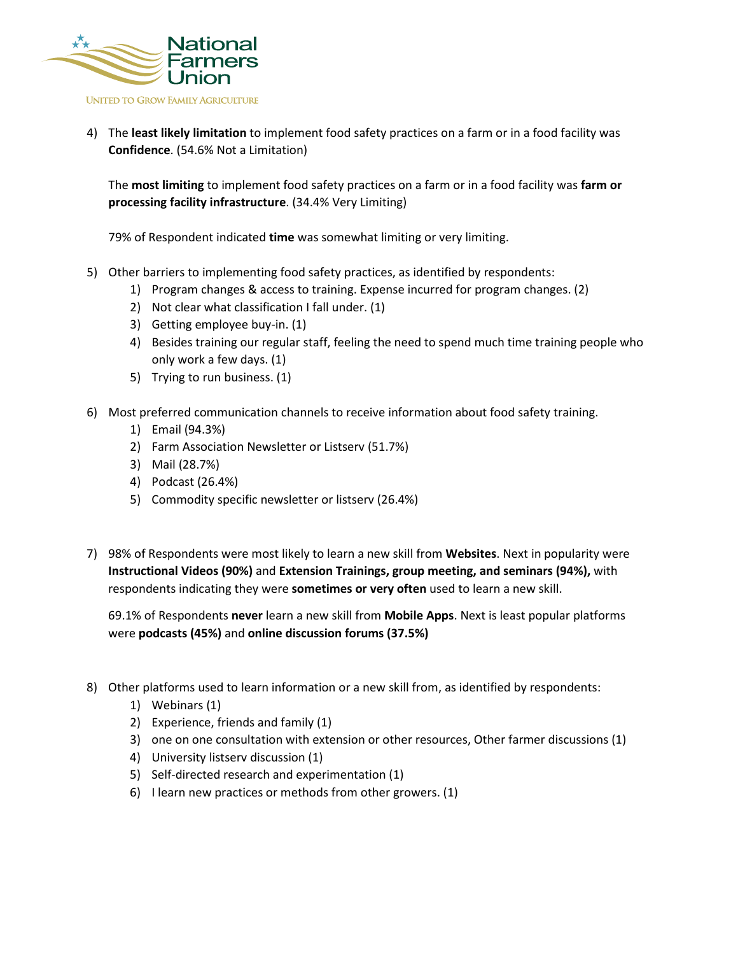

4) The **least likely limitation** to implement food safety practices on a farm or in a food facility was **Confidence**. (54.6% Not a Limitation)

The **most limiting** to implement food safety practices on a farm or in a food facility was **farm or processing facility infrastructure**. (34.4% Very Limiting)

79% of Respondent indicated **time** was somewhat limiting or very limiting.

- 5) Other barriers to implementing food safety practices, as identified by respondents:
	- 1) Program changes & access to training. Expense incurred for program changes. (2)
	- 2) Not clear what classification I fall under. (1)
	- 3) Getting employee buy-in. (1)
	- 4) Besides training our regular staff, feeling the need to spend much time training people who only work a few days. (1)
	- 5) Trying to run business. (1)
- 6) Most preferred communication channels to receive information about food safety training.
	- 1) Email (94.3%)
	- 2) Farm Association Newsletter or Listserv (51.7%)
	- 3) Mail (28.7%)
	- 4) Podcast (26.4%)
	- 5) Commodity specific newsletter or listserv (26.4%)
- 7) 98% of Respondents were most likely to learn a new skill from **Websites**. Next in popularity were **Instructional Videos (90%)** and **Extension Trainings, group meeting, and seminars (94%),** with respondents indicating they were **sometimes or very often** used to learn a new skill.

69.1% of Respondents **never** learn a new skill from **Mobile Apps**. Next is least popular platforms were **podcasts (45%)** and **online discussion forums (37.5%)**

- 8) Other platforms used to learn information or a new skill from, as identified by respondents:
	- 1) Webinars (1)
	- 2) Experience, friends and family (1)
	- 3) one on one consultation with extension or other resources, Other farmer discussions (1)
	- 4) University listserv discussion (1)
	- 5) Self-directed research and experimentation (1)
	- 6) I learn new practices or methods from other growers. (1)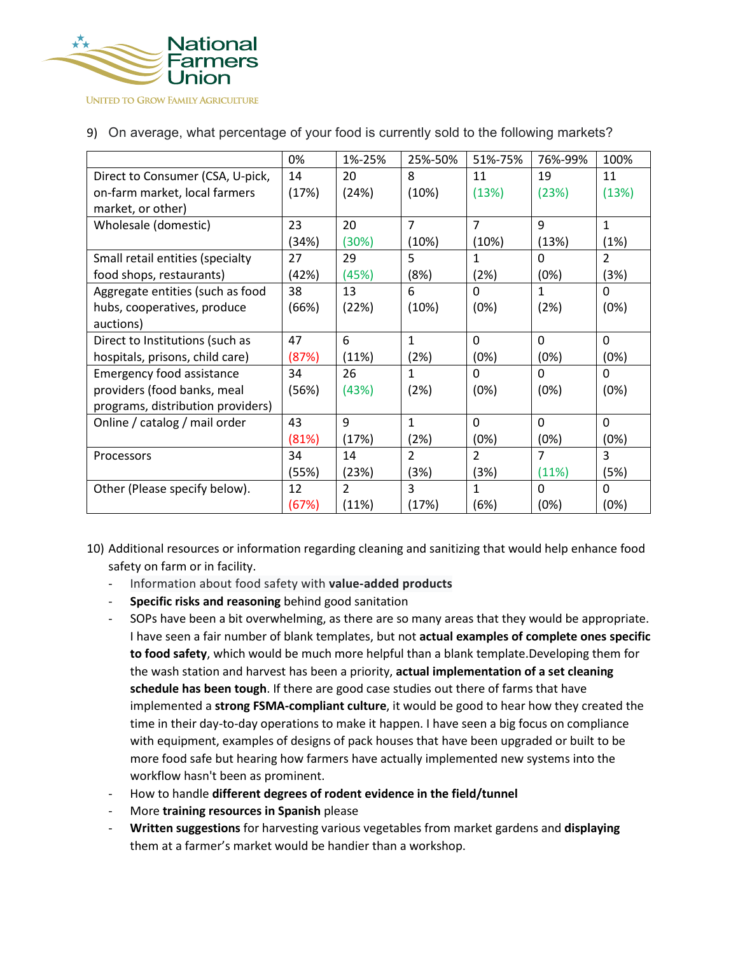

|                                   | 0%    | 1%-25% | 25%-50%        | 51%-75%        | 76%-99%  | 100%          |
|-----------------------------------|-------|--------|----------------|----------------|----------|---------------|
| Direct to Consumer (CSA, U-pick,  | 14    | 20     | 8              | 11             | 19       | 11            |
| on-farm market, local farmers     | (17%) | (24%)  | (10%)          | (13%)          | (23%)    | (13%)         |
| market, or other)                 |       |        |                |                |          |               |
| Wholesale (domestic)              | 23    | 20     | $\overline{7}$ | $\overline{7}$ | 9        | $\mathbf{1}$  |
|                                   | (34%) | (30%)  | (10%)          | (10%)          | (13%)    | (1%)          |
| Small retail entities (specialty  | 27    | 29     | 5              | 1              | $\Omega$ | $\mathcal{P}$ |
| food shops, restaurants)          | (42%) | (45%)  | (8%)           | (2%)           | (0%)     | (3%)          |
| Aggregate entities (such as food  | 38    | 13     | 6              | <sup>0</sup>   | 1        | $\Omega$      |
| hubs, cooperatives, produce       | (66%) | (22%)  | (10%)          | (0%)           | (2%)     | (0%)          |
| auctions)                         |       |        |                |                |          |               |
| Direct to Institutions (such as   | 47    | 6      | $\mathbf{1}$   | $\Omega$       | $\Omega$ | $\Omega$      |
| hospitals, prisons, child care)   | (87%) | (11%)  | (2%)           | (0%)           | (0%)     | (0%)          |
| Emergency food assistance         | 34    | 26     | 1              | $\Omega$       | $\Omega$ | $\Omega$      |
| providers (food banks, meal       | (56%) | (43%)  | (2%)           | (0%)           | (0%)     | (0%)          |
| programs, distribution providers) |       |        |                |                |          |               |
| Online / catalog / mail order     | 43    | 9      | $\mathbf{1}$   | $\Omega$       | $\Omega$ | $\Omega$      |
|                                   | (81%) | (17%)  | (2%)           | (0%)           | (0%)     | (0%)          |
| Processors                        | 34    | 14     | $\overline{2}$ | $\overline{2}$ | 7        | 3             |
|                                   | (55%) | (23%)  | (3%)           | (3%)           | (11%)    | (5%)          |
| Other (Please specify below).     | 12    | 2      | 3              | 1              | $\Omega$ | 0             |
|                                   | (67%) | (11%)  | (17%)          | (6%)           | (0%)     | (0%)          |

## 9) On average, what percentage of your food is currently sold to the following markets?

10) Additional resources or information regarding cleaning and sanitizing that would help enhance food safety on farm or in facility.

- Information about food safety with **value-added products**
- **Specific risks and reasoning** behind good sanitation
- SOPs have been a bit overwhelming, as there are so many areas that they would be appropriate. I have seen a fair number of blank templates, but not **actual examples of complete ones specific to food safety**, which would be much more helpful than a blank template.Developing them for the wash station and harvest has been a priority, **actual implementation of a set cleaning schedule has been tough**. If there are good case studies out there of farms that have implemented a **strong FSMA-compliant culture**, it would be good to hear how they created the time in their day-to-day operations to make it happen. I have seen a big focus on compliance with equipment, examples of designs of pack houses that have been upgraded or built to be more food safe but hearing how farmers have actually implemented new systems into the workflow hasn't been as prominent.
- How to handle **different degrees of rodent evidence in the field/tunnel**
- More **training resources in Spanish** please
- **Written suggestions** for harvesting various vegetables from market gardens and **displaying** them at a farmer's market would be handier than a workshop.